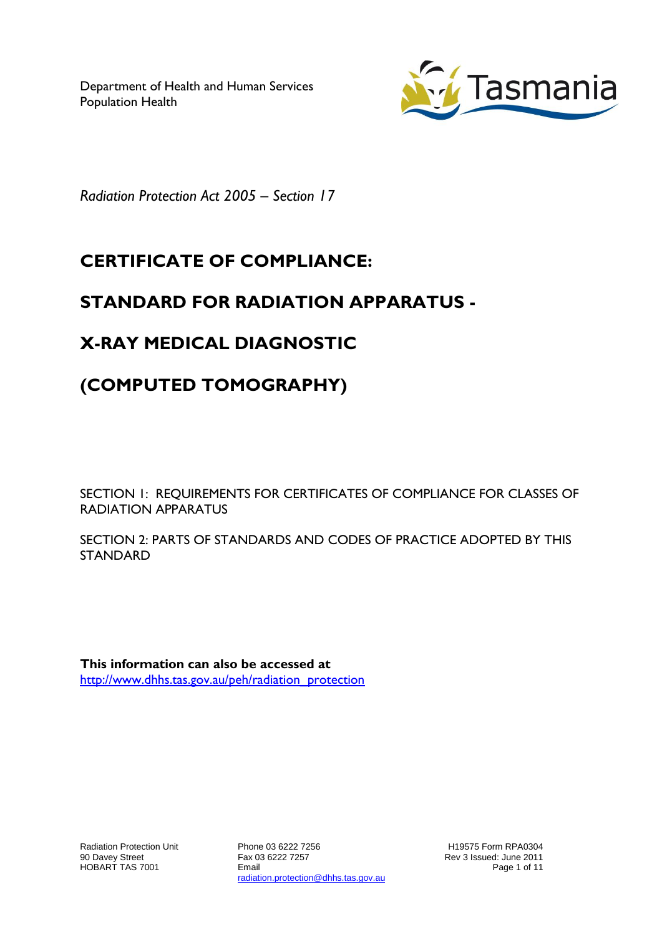Department of Health and Human Services Population Health



*Radiation Protection Act 2005 – Section 17*

# **CERTIFICATE OF COMPLIANCE:**

## **STANDARD FOR RADIATION APPARATUS -**

## **X-RAY MEDICAL DIAGNOSTIC**

# **(COMPUTED TOMOGRAPHY)**

SECTION 1: REQUIREMENTS FOR CERTIFICATES OF COMPLIANCE FOR CLASSES OF RADIATION APPARATUS

SECTION 2: PARTS OF STANDARDS AND CODES OF PRACTICE ADOPTED BY THIS STANDARD

**This information can also be accessed at** [http://www.dhhs.tas.gov.au/peh/radiation\\_protection](http://www.dhhs.tas.gov.au/peh/radiation_protection)

Phone 03 6222 7256 Fax 03 6222 7257 Email radiation.protection@dhhs.tas.gov.au

H19575 Form RPA0304 Rev 3 Issued: June 2011 Page 1 of 11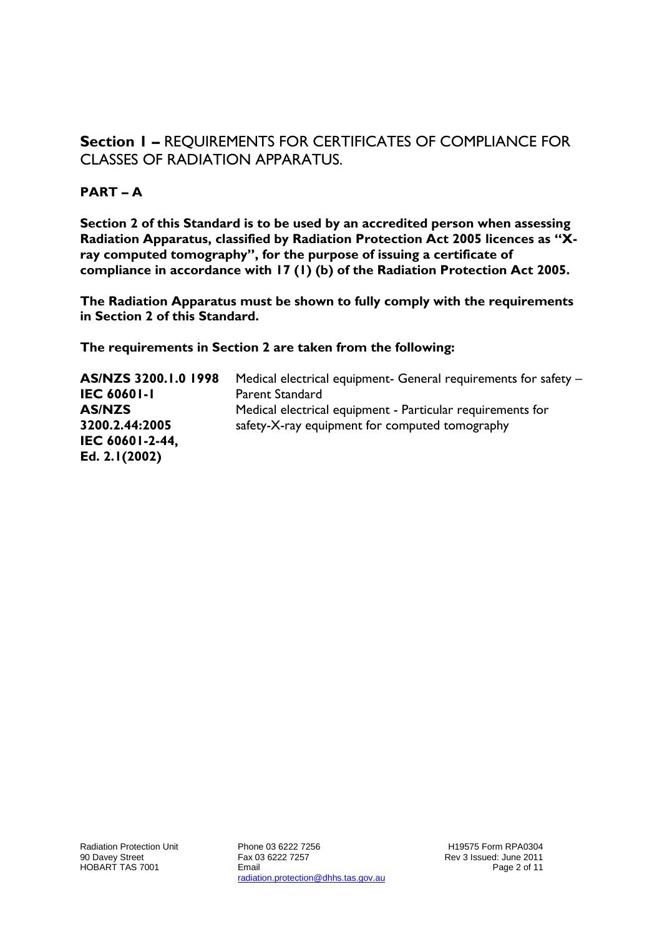#### **Section 1 –** REQUIREMENTS FOR CERTIFICATES OF COMPLIANCE FOR CLASSES OF RADIATION APPARATUS.

#### **PART – A**

**Section 2 of this Standard is to be used by an accredited person when assessing Radiation Apparatus, classified by Radiation Protection Act 2005 licences as "Xray computed tomography", for the purpose of issuing a certificate of compliance in accordance with 17 (1) (b) of the Radiation Protection Act 2005.**

**The Radiation Apparatus must be shown to fully comply with the requirements in Section 2 of this Standard.**

**The requirements in Section 2 are taken from the following:**

**AS/NZS 3200.1.0 1998 IEC 60601-1** Medical electrical equipment- General requirements for safety – Parent Standard **AS/NZS 3200.2.44:2005 IEC 60601-2-44, Ed. 2.1(2002)** Medical electrical equipment - Particular requirements for safety-X-ray equipment for computed tomography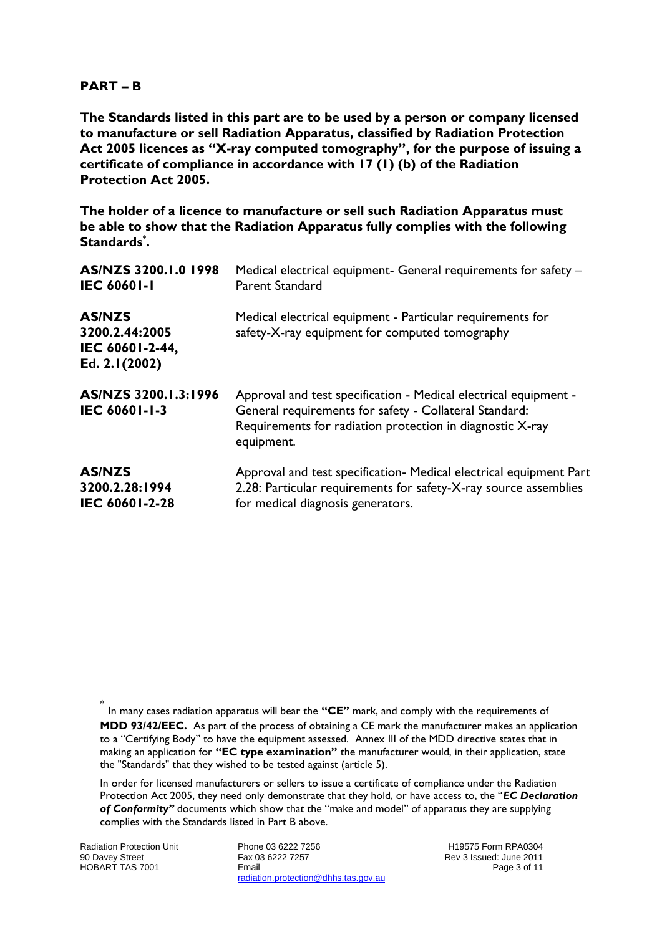#### **PART – B**

**The Standards listed in this part are to be used by a person or company licensed to manufacture or sell Radiation Apparatus, classified by Radiation Protection Act 2005 licences as "X-ray computed tomography", for the purpose of issuing a certificate of compliance in accordance with 17 (1) (b) of the Radiation Protection Act 2005.**

**The holder of a licence to manufacture or sell such Radiation Apparatus must be able to show that the Radiation Apparatus fully complies with the following Standards\* .**

| AS/NZS 3200.1.0 1998                                                | Medical electrical equipment- General requirements for safety -                                                                                                                                       |
|---------------------------------------------------------------------|-------------------------------------------------------------------------------------------------------------------------------------------------------------------------------------------------------|
| <b>IEC 60601-1</b>                                                  | <b>Parent Standard</b>                                                                                                                                                                                |
| <b>AS/NZS</b><br>3200.2.44:2005<br>IEC 60601-2-44,<br>Ed. 2.1(2002) | Medical electrical equipment - Particular requirements for<br>safety-X-ray equipment for computed tomography                                                                                          |
| AS/NZS 3200.1.3:1996<br>IEC 60601-1-3                               | Approval and test specification - Medical electrical equipment -<br>General requirements for safety - Collateral Standard:<br>Requirements for radiation protection in diagnostic X-ray<br>equipment. |
| <b>AS/NZS</b>                                                       | Approval and test specification- Medical electrical equipment Part                                                                                                                                    |
| 3200.2.28:1994                                                      | 2.28: Particular requirements for safety-X-ray source assemblies                                                                                                                                      |
| IEC 60601-2-28                                                      | for medical diagnosis generators.                                                                                                                                                                     |

 $\overline{a}$ 

Phone 03 6222 7256 Fax 03 6222 7257 Email radiation.protection@dhhs.tas.gov.au

H19575 Form RPA0304 Rev 3 Issued: June 2011 Page 3 of 11

<sup>\*</sup> In many cases radiation apparatus will bear the **"CE"** mark, and comply with the requirements of **MDD 93/42/EEC.** As part of the process of obtaining a CE mark the manufacturer makes an application to a "Certifying Body" to have the equipment assessed. Annex III of the MDD directive states that in making an application for **"EC type examination"** the manufacturer would, in their application, state the "Standards" that they wished to be tested against (article 5).

In order for licensed manufacturers or sellers to issue a certificate of compliance under the Radiation Protection Act 2005, they need only demonstrate that they hold, or have access to, the "*EC Declaration of Conformity"* documents which show that the "make and model" of apparatus they are supplying complies with the Standards listed in Part B above.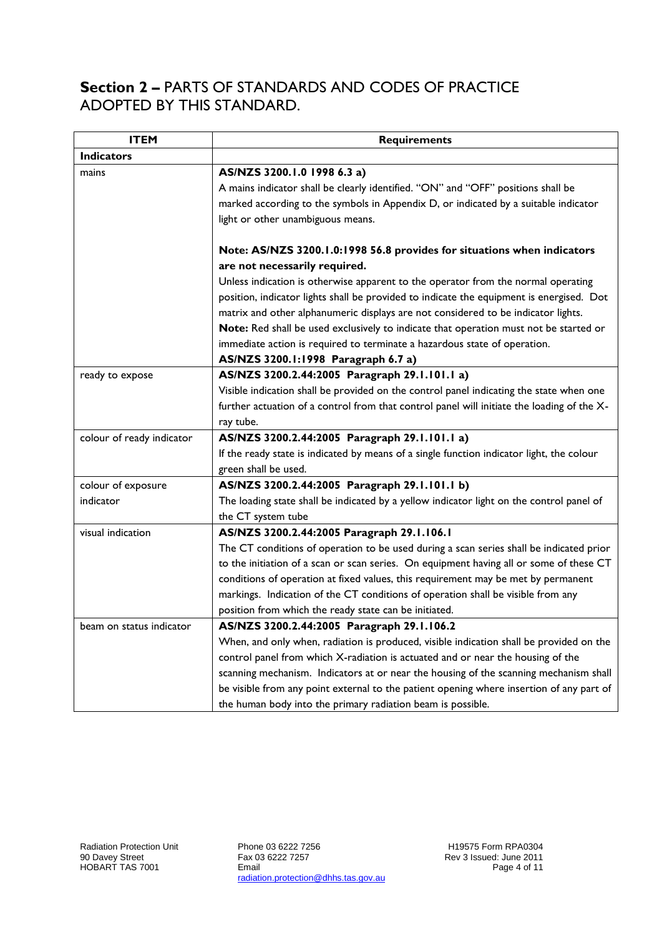### **Section 2 –** PARTS OF STANDARDS AND CODES OF PRACTICE ADOPTED BY THIS STANDARD.

| <b>ITEM</b>               | <b>Requirements</b>                                                                        |
|---------------------------|--------------------------------------------------------------------------------------------|
| <b>Indicators</b>         |                                                                                            |
| mains                     | AS/NZS 3200.1.0 1998 6.3 a)                                                                |
|                           | A mains indicator shall be clearly identified. "ON" and "OFF" positions shall be           |
|                           | marked according to the symbols in Appendix D, or indicated by a suitable indicator        |
|                           | light or other unambiguous means.                                                          |
|                           |                                                                                            |
|                           | Note: AS/NZS 3200.1.0:1998 56.8 provides for situations when indicators                    |
|                           | are not necessarily required.                                                              |
|                           | Unless indication is otherwise apparent to the operator from the normal operating          |
|                           | position, indicator lights shall be provided to indicate the equipment is energised. Dot   |
|                           | matrix and other alphanumeric displays are not considered to be indicator lights.          |
|                           | Note: Red shall be used exclusively to indicate that operation must not be started or      |
|                           | immediate action is required to terminate a hazardous state of operation.                  |
|                           | AS/NZS 3200.1:1998 Paragraph 6.7 a)                                                        |
| ready to expose           | AS/NZS 3200.2.44:2005 Paragraph 29.1.101.1 a)                                              |
|                           | Visible indication shall be provided on the control panel indicating the state when one    |
|                           | further actuation of a control from that control panel will initiate the loading of the X- |
|                           | ray tube.                                                                                  |
| colour of ready indicator | AS/NZS 3200.2.44:2005 Paragraph 29.1.101.1 a)                                              |
|                           | If the ready state is indicated by means of a single function indicator light, the colour  |
|                           | green shall be used.                                                                       |
| colour of exposure        | AS/NZS 3200.2.44:2005 Paragraph 29.1.101.1 b)                                              |
| indicator                 | The loading state shall be indicated by a yellow indicator light on the control panel of   |
|                           | the CT system tube                                                                         |
| visual indication         | AS/NZS 3200.2.44:2005 Paragraph 29.1.106.1                                                 |
|                           | The CT conditions of operation to be used during a scan series shall be indicated prior    |
|                           | to the initiation of a scan or scan series. On equipment having all or some of these CT    |
|                           | conditions of operation at fixed values, this requirement may be met by permanent          |
|                           | markings. Indication of the CT conditions of operation shall be visible from any           |
|                           | position from which the ready state can be initiated.                                      |
| beam on status indicator  | AS/NZS 3200.2.44:2005 Paragraph 29.1.106.2                                                 |
|                           | When, and only when, radiation is produced, visible indication shall be provided on the    |
|                           | control panel from which X-radiation is actuated and or near the housing of the            |
|                           | scanning mechanism. Indicators at or near the housing of the scanning mechanism shall      |
|                           | be visible from any point external to the patient opening where insertion of any part of   |
|                           | the human body into the primary radiation beam is possible.                                |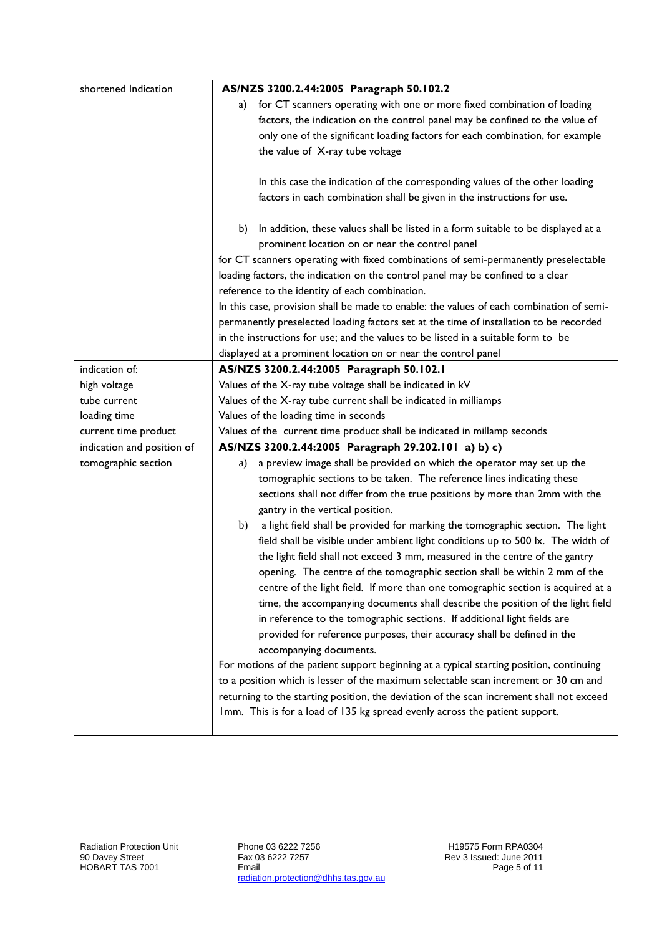| shortened Indication       | AS/NZS 3200.2.44:2005 Paragraph 50.102.2                                                 |  |
|----------------------------|------------------------------------------------------------------------------------------|--|
|                            | for CT scanners operating with one or more fixed combination of loading<br>a)            |  |
|                            | factors, the indication on the control panel may be confined to the value of             |  |
|                            | only one of the significant loading factors for each combination, for example            |  |
|                            | the value of X-ray tube voltage                                                          |  |
|                            |                                                                                          |  |
|                            | In this case the indication of the corresponding values of the other loading             |  |
|                            | factors in each combination shall be given in the instructions for use.                  |  |
|                            |                                                                                          |  |
|                            | In addition, these values shall be listed in a form suitable to be displayed at a<br>b)  |  |
|                            | prominent location on or near the control panel                                          |  |
|                            | for CT scanners operating with fixed combinations of semi-permanently preselectable      |  |
|                            | loading factors, the indication on the control panel may be confined to a clear          |  |
|                            | reference to the identity of each combination.                                           |  |
|                            | In this case, provision shall be made to enable: the values of each combination of semi- |  |
|                            | permanently preselected loading factors set at the time of installation to be recorded   |  |
|                            | in the instructions for use; and the values to be listed in a suitable form to be        |  |
|                            | displayed at a prominent location on or near the control panel                           |  |
| indication of:             | AS/NZS 3200.2.44:2005 Paragraph 50.102.1                                                 |  |
| high voltage               | Values of the X-ray tube voltage shall be indicated in kV                                |  |
| tube current               | Values of the X-ray tube current shall be indicated in milliamps                         |  |
| loading time               | Values of the loading time in seconds                                                    |  |
| current time product       | Values of the current time product shall be indicated in millamp seconds                 |  |
| indication and position of | AS/NZS 3200.2.44:2005 Paragraph 29.202.101 a) b) c)                                      |  |
| tomographic section        | a preview image shall be provided on which the operator may set up the<br>a)             |  |
|                            | tomographic sections to be taken. The reference lines indicating these                   |  |
|                            | sections shall not differ from the true positions by more than 2mm with the              |  |
|                            | gantry in the vertical position.                                                         |  |
|                            | a light field shall be provided for marking the tomographic section. The light<br>b)     |  |
|                            | field shall be visible under ambient light conditions up to 500 lx. The width of         |  |
|                            | the light field shall not exceed 3 mm, measured in the centre of the gantry              |  |
|                            | opening. The centre of the tomographic section shall be within 2 mm of the               |  |
|                            | centre of the light field. If more than one tomographic section is acquired at a         |  |
|                            | time, the accompanying documents shall describe the position of the light field          |  |
|                            | in reference to the tomographic sections. If additional light fields are                 |  |
|                            | provided for reference purposes, their accuracy shall be defined in the                  |  |
|                            | accompanying documents.                                                                  |  |
|                            | For motions of the patient support beginning at a typical starting position, continuing  |  |
|                            | to a position which is lesser of the maximum selectable scan increment or 30 cm and      |  |
|                            | returning to the starting position, the deviation of the scan increment shall not exceed |  |
|                            | Imm. This is for a load of 135 kg spread evenly across the patient support.              |  |
|                            |                                                                                          |  |

Phone 03 6222 7256 Fax 03 6222 7257 Email radiation.protection@dhhs.tas.gov.au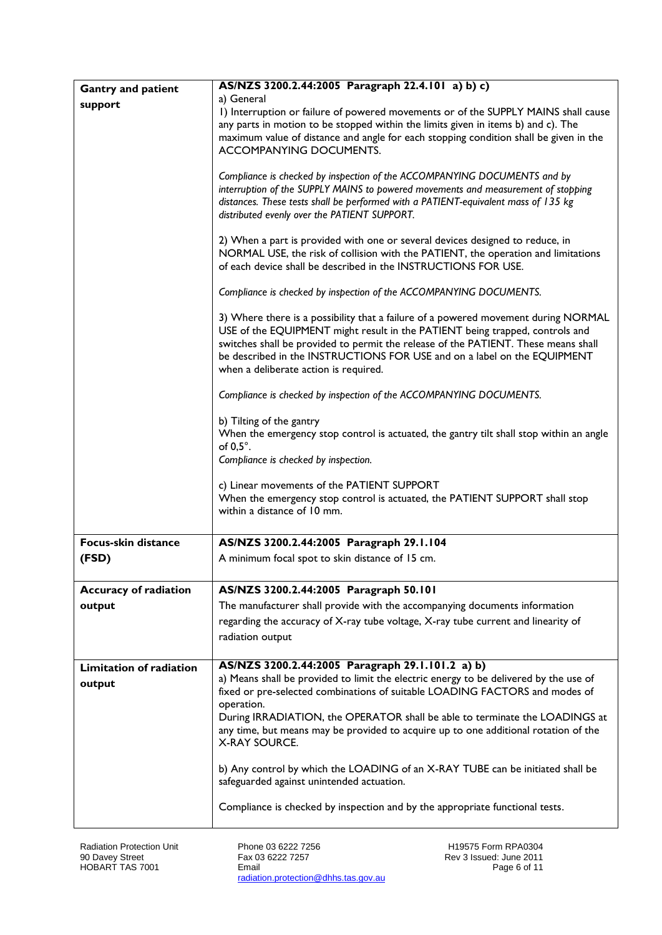| <b>Gantry and patient</b>    | AS/NZS 3200.2.44:2005 Paragraph 22.4.101 a) b) c)                                                                                                                  |
|------------------------------|--------------------------------------------------------------------------------------------------------------------------------------------------------------------|
| support                      | a) General                                                                                                                                                         |
|                              | I) Interruption or failure of powered movements or of the SUPPLY MAINS shall cause                                                                                 |
|                              | any parts in motion to be stopped within the limits given in items b) and c). The                                                                                  |
|                              | maximum value of distance and angle for each stopping condition shall be given in the<br>ACCOMPANYING DOCUMENTS.                                                   |
|                              |                                                                                                                                                                    |
|                              | Compliance is checked by inspection of the ACCOMPANYING DOCUMENTS and by                                                                                           |
|                              | interruption of the SUPPLY MAINS to powered movements and measurement of stopping                                                                                  |
|                              | distances. These tests shall be performed with a PATIENT-equivalent mass of 135 kg                                                                                 |
|                              | distributed evenly over the PATIENT SUPPORT.                                                                                                                       |
|                              | 2) When a part is provided with one or several devices designed to reduce, in                                                                                      |
|                              | NORMAL USE, the risk of collision with the PATIENT, the operation and limitations                                                                                  |
|                              | of each device shall be described in the INSTRUCTIONS FOR USE.                                                                                                     |
|                              |                                                                                                                                                                    |
|                              | Compliance is checked by inspection of the ACCOMPANYING DOCUMENTS.                                                                                                 |
|                              | 3) Where there is a possibility that a failure of a powered movement during NORMAL                                                                                 |
|                              | USE of the EQUIPMENT might result in the PATIENT being trapped, controls and                                                                                       |
|                              | switches shall be provided to permit the release of the PATIENT. These means shall                                                                                 |
|                              | be described in the INSTRUCTIONS FOR USE and on a label on the EQUIPMENT                                                                                           |
|                              | when a deliberate action is required.                                                                                                                              |
|                              | Compliance is checked by inspection of the ACCOMPANYING DOCUMENTS.                                                                                                 |
|                              | b) Tilting of the gantry                                                                                                                                           |
|                              | When the emergency stop control is actuated, the gantry tilt shall stop within an angle                                                                            |
|                              | of $0.5^\circ$ .                                                                                                                                                   |
|                              | Compliance is checked by inspection.                                                                                                                               |
|                              | c) Linear movements of the PATIENT SUPPORT                                                                                                                         |
|                              | When the emergency stop control is actuated, the PATIENT SUPPORT shall stop                                                                                        |
|                              | within a distance of 10 mm.                                                                                                                                        |
|                              |                                                                                                                                                                    |
| Focus-skin distance          | AS/NZS 3200.2.44:2005 Paragraph 29.1.104                                                                                                                           |
| (FSD)                        | A minimum focal spot to skin distance of 15 cm.                                                                                                                    |
|                              |                                                                                                                                                                    |
| <b>Accuracy of radiation</b> | AS/NZS 3200.2.44:2005 Paragraph 50.101                                                                                                                             |
| output                       | The manufacturer shall provide with the accompanying documents information                                                                                         |
|                              | regarding the accuracy of X-ray tube voltage, X-ray tube current and linearity of                                                                                  |
|                              | radiation output                                                                                                                                                   |
|                              |                                                                                                                                                                    |
| Limitation of radiation      | AS/NZS 3200.2.44:2005 Paragraph 29.1.101.2 a) b)                                                                                                                   |
| output                       | a) Means shall be provided to limit the electric energy to be delivered by the use of                                                                              |
|                              | fixed or pre-selected combinations of suitable LOADING FACTORS and modes of                                                                                        |
|                              | operation.                                                                                                                                                         |
|                              | During IRRADIATION, the OPERATOR shall be able to terminate the LOADINGS at<br>any time, but means may be provided to acquire up to one additional rotation of the |
|                              | <b>X-RAY SOURCE.</b>                                                                                                                                               |
|                              |                                                                                                                                                                    |
|                              | b) Any control by which the LOADING of an X-RAY TUBE can be initiated shall be                                                                                     |
|                              | safeguarded against unintended actuation.                                                                                                                          |
|                              | Compliance is checked by inspection and by the appropriate functional tests.                                                                                       |
|                              |                                                                                                                                                                    |

Phone 03 6222 7256 Fax 03 6222 7257 Email radiation.protection@dhhs.tas.gov.au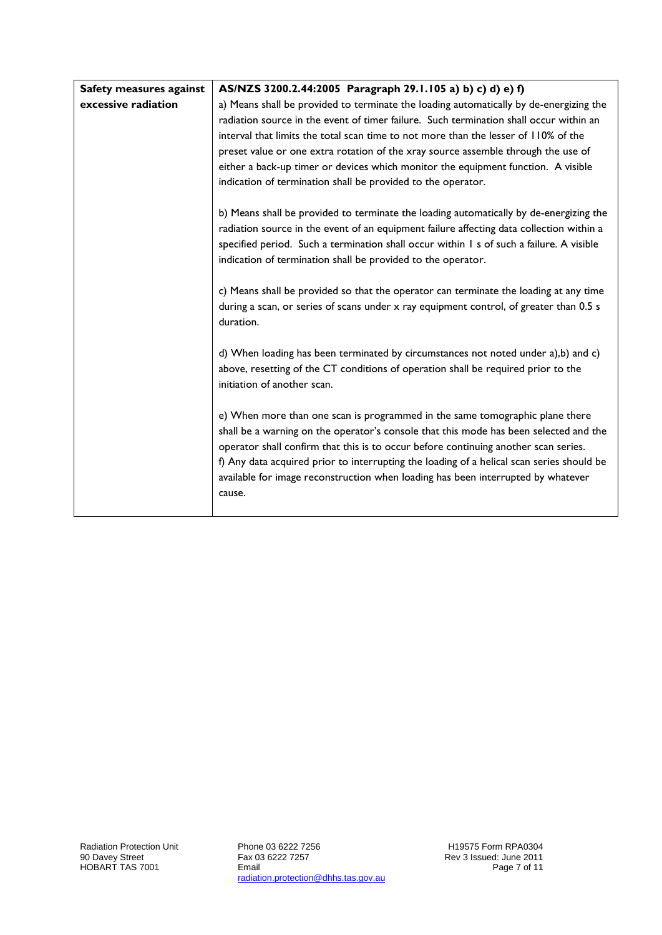| Safety measures against | AS/NZS 3200.2.44:2005 Paragraph 29.1.105 a) b) c) d) e) f)                                                                                                                                                                                                                                                                                                                                                                                                                                                                                     |
|-------------------------|------------------------------------------------------------------------------------------------------------------------------------------------------------------------------------------------------------------------------------------------------------------------------------------------------------------------------------------------------------------------------------------------------------------------------------------------------------------------------------------------------------------------------------------------|
| excessive radiation     | a) Means shall be provided to terminate the loading automatically by de-energizing the                                                                                                                                                                                                                                                                                                                                                                                                                                                         |
|                         | radiation source in the event of timer failure. Such termination shall occur within an                                                                                                                                                                                                                                                                                                                                                                                                                                                         |
|                         | interval that limits the total scan time to not more than the lesser of 110% of the                                                                                                                                                                                                                                                                                                                                                                                                                                                            |
|                         | preset value or one extra rotation of the xray source assemble through the use of                                                                                                                                                                                                                                                                                                                                                                                                                                                              |
|                         | either a back-up timer or devices which monitor the equipment function. A visible                                                                                                                                                                                                                                                                                                                                                                                                                                                              |
|                         | indication of termination shall be provided to the operator.                                                                                                                                                                                                                                                                                                                                                                                                                                                                                   |
|                         | b) Means shall be provided to terminate the loading automatically by de-energizing the<br>radiation source in the event of an equipment failure affecting data collection within a<br>specified period. Such a termination shall occur within I s of such a failure. A visible<br>indication of termination shall be provided to the operator.<br>c) Means shall be provided so that the operator can terminate the loading at any time<br>during a scan, or series of scans under x ray equipment control, of greater than 0.5 s<br>duration. |
|                         | d) When loading has been terminated by circumstances not noted under a),b) and c)<br>above, resetting of the CT conditions of operation shall be required prior to the<br>initiation of another scan.                                                                                                                                                                                                                                                                                                                                          |
|                         | e) When more than one scan is programmed in the same tomographic plane there<br>shall be a warning on the operator's console that this mode has been selected and the<br>operator shall confirm that this is to occur before continuing another scan series.<br>f) Any data acquired prior to interrupting the loading of a helical scan series should be<br>available for image reconstruction when loading has been interrupted by whatever<br>cause.                                                                                        |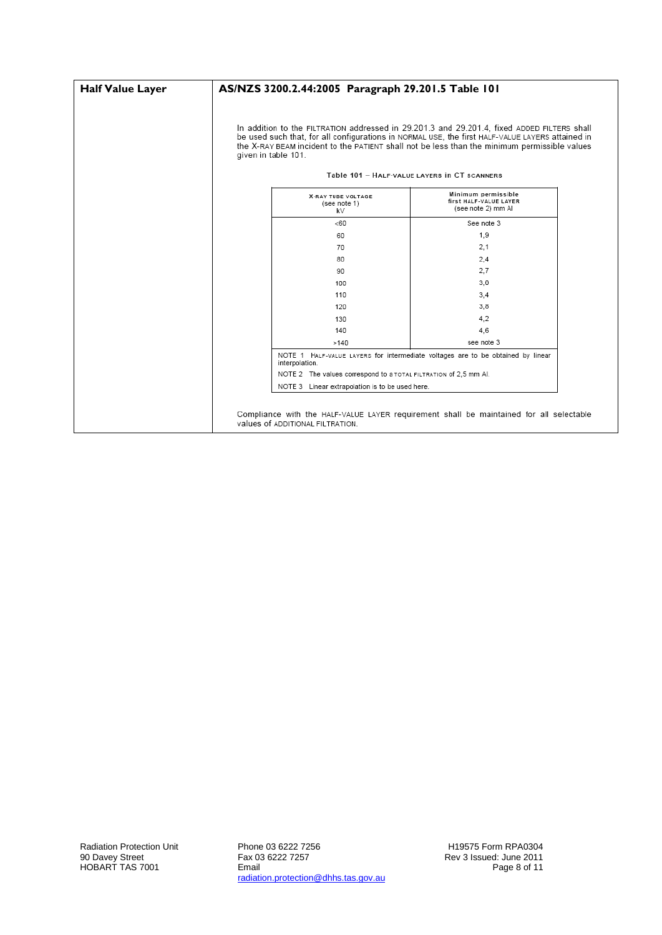| <b>Half Value Layer</b> | AS/NZS 3200.2.44:2005 Paragraph 29.201.5 Table 101               |                                                                                                                                                                                                                                                                                                                                                 |  |
|-------------------------|------------------------------------------------------------------|-------------------------------------------------------------------------------------------------------------------------------------------------------------------------------------------------------------------------------------------------------------------------------------------------------------------------------------------------|--|
|                         | given in table 101.                                              | In addition to the FILTRATION addressed in 29.201.3 and 29.201.4, fixed ADDED FILTERS shall<br>be used such that, for all configurations in NORMAL USE, the first HALF-VALUE LAYERS attained in<br>the X-RAY BEAM incident to the PATIENT shall not be less than the minimum permissible values<br>Table 101 - HALF-VALUE LAYERS IN CT SCANNERS |  |
|                         | X-RAY TUBE VOLTAGE<br>(see note 1)<br>k۷                         | Minimum permissible<br>first HALF-VALUE LAYER<br>(see note 2) mm Al                                                                                                                                                                                                                                                                             |  |
|                         | <60                                                              | See note 3                                                                                                                                                                                                                                                                                                                                      |  |
|                         | 60                                                               | 1.9                                                                                                                                                                                                                                                                                                                                             |  |
|                         | 70                                                               | 2.1                                                                                                                                                                                                                                                                                                                                             |  |
|                         | 80                                                               | 2,4                                                                                                                                                                                                                                                                                                                                             |  |
|                         | 90                                                               | 2.7                                                                                                                                                                                                                                                                                                                                             |  |
|                         | 100                                                              | 3,0                                                                                                                                                                                                                                                                                                                                             |  |
|                         | 110                                                              | 3,4                                                                                                                                                                                                                                                                                                                                             |  |
|                         | 120                                                              | 3,8                                                                                                                                                                                                                                                                                                                                             |  |
|                         | 130                                                              | 4,2                                                                                                                                                                                                                                                                                                                                             |  |
|                         | 140                                                              | 4,6                                                                                                                                                                                                                                                                                                                                             |  |
|                         | >140                                                             | see note 3                                                                                                                                                                                                                                                                                                                                      |  |
|                         | interpolation.                                                   | NOTE 1 HALF-VALUE LAYERS for intermediate voltages are to be obtained by linear                                                                                                                                                                                                                                                                 |  |
|                         | NOTE 2 The values correspond to a TOTAL FILTRATION of 2,5 mm Al. |                                                                                                                                                                                                                                                                                                                                                 |  |
|                         | NOTE 3 Linear extrapolation is to be used here.                  |                                                                                                                                                                                                                                                                                                                                                 |  |
|                         | values of ADDITIONAL FILTRATION.                                 | Compliance with the HALF-VALUE LAYER requirement shall be maintained for all selectable                                                                                                                                                                                                                                                         |  |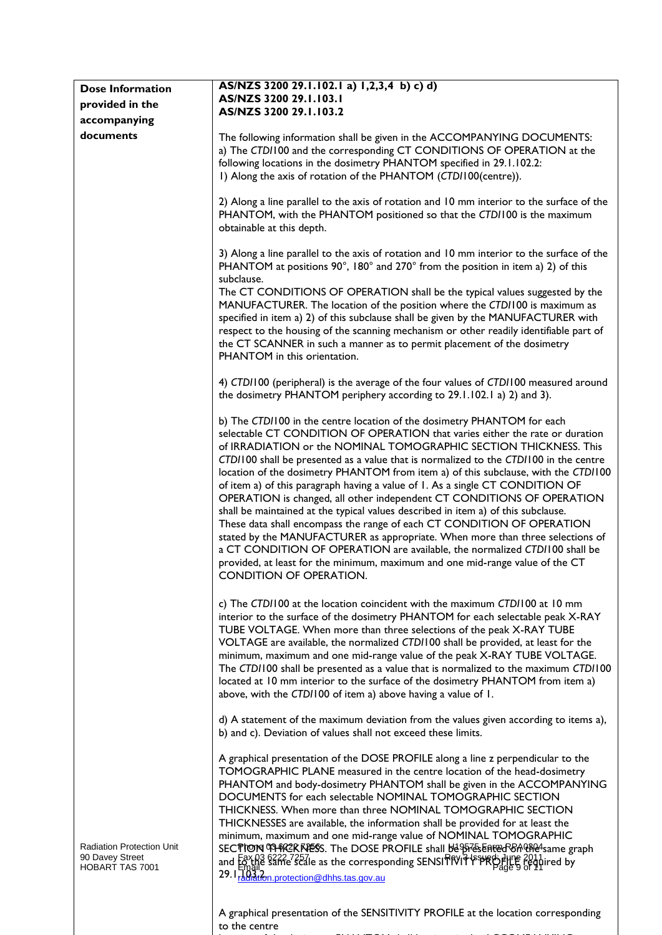| <b>Dose Information</b>                                                       | AS/NZS 3200 29.1.102.1 a) 1,2,3,4 b) c) d)                                                                                                                                                                                                                                                                                                                                                                                                                                                                                                                                                                                                                                                                                                                                                                                                                                                                                                                                                                       |
|-------------------------------------------------------------------------------|------------------------------------------------------------------------------------------------------------------------------------------------------------------------------------------------------------------------------------------------------------------------------------------------------------------------------------------------------------------------------------------------------------------------------------------------------------------------------------------------------------------------------------------------------------------------------------------------------------------------------------------------------------------------------------------------------------------------------------------------------------------------------------------------------------------------------------------------------------------------------------------------------------------------------------------------------------------------------------------------------------------|
| provided in the                                                               | AS/NZS 3200 29.1.103.1                                                                                                                                                                                                                                                                                                                                                                                                                                                                                                                                                                                                                                                                                                                                                                                                                                                                                                                                                                                           |
| accompanying                                                                  | AS/NZS 3200 29.1.103.2                                                                                                                                                                                                                                                                                                                                                                                                                                                                                                                                                                                                                                                                                                                                                                                                                                                                                                                                                                                           |
| documents                                                                     | The following information shall be given in the ACCOMPANYING DOCUMENTS:                                                                                                                                                                                                                                                                                                                                                                                                                                                                                                                                                                                                                                                                                                                                                                                                                                                                                                                                          |
|                                                                               | a) The CTD/100 and the corresponding CT CONDITIONS OF OPERATION at the<br>following locations in the dosimetry PHANTOM specified in 29.1.102.2:<br>I) Along the axis of rotation of the PHANTOM (CTDI100(centre)).                                                                                                                                                                                                                                                                                                                                                                                                                                                                                                                                                                                                                                                                                                                                                                                               |
|                                                                               | 2) Along a line parallel to the axis of rotation and 10 mm interior to the surface of the<br>PHANTOM, with the PHANTOM positioned so that the CTD/100 is the maximum<br>obtainable at this depth.                                                                                                                                                                                                                                                                                                                                                                                                                                                                                                                                                                                                                                                                                                                                                                                                                |
|                                                                               | 3) Along a line parallel to the axis of rotation and 10 mm interior to the surface of the<br>PHANTOM at positions 90°, 180° and 270° from the position in item a) 2) of this<br>subclause.                                                                                                                                                                                                                                                                                                                                                                                                                                                                                                                                                                                                                                                                                                                                                                                                                       |
|                                                                               | The CT CONDITIONS OF OPERATION shall be the typical values suggested by the<br>MANUFACTURER. The location of the position where the CTD/100 is maximum as<br>specified in item a) 2) of this subclause shall be given by the MANUFACTURER with<br>respect to the housing of the scanning mechanism or other readily identifiable part of<br>the CT SCANNER in such a manner as to permit placement of the dosimetry<br>PHANTOM in this orientation.                                                                                                                                                                                                                                                                                                                                                                                                                                                                                                                                                              |
|                                                                               | 4) CTD/100 (peripheral) is the average of the four values of CTD/100 measured around<br>the dosimetry PHANTOM periphery according to 29.1.102.1 a) 2) and 3).                                                                                                                                                                                                                                                                                                                                                                                                                                                                                                                                                                                                                                                                                                                                                                                                                                                    |
|                                                                               | b) The CTD/100 in the centre location of the dosimetry PHANTOM for each<br>selectable CT CONDITION OF OPERATION that varies either the rate or duration<br>of IRRADIATION or the NOMINAL TOMOGRAPHIC SECTION THICKNESS. This<br>CTD/100 shall be presented as a value that is normalized to the CTD/100 in the centre<br>location of the dosimetry PHANTOM from item a) of this subclause, with the CTDI100<br>of item a) of this paragraph having a value of I. As a single CT CONDITION OF<br>OPERATION is changed, all other independent CT CONDITIONS OF OPERATION<br>shall be maintained at the typical values described in item a) of this subclause.<br>These data shall encompass the range of each CT CONDITION OF OPERATION<br>stated by the MANUFACTURER as appropriate. When more than three selections of<br>a CT CONDITION OF OPERATION are available, the normalized CTDI100 shall be<br>provided, at least for the minimum, maximum and one mid-range value of the CT<br>CONDITION OF OPERATION. |
|                                                                               | c) The CTD/100 at the location coincident with the maximum CTD/100 at 10 mm<br>interior to the surface of the dosimetry PHANTOM for each selectable peak X-RAY<br>TUBE VOLTAGE. When more than three selections of the peak X-RAY TUBE<br>VOLTAGE are available, the normalized CTD/100 shall be provided, at least for the<br>minimum, maximum and one mid-range value of the peak X-RAY TUBE VOLTAGE.<br>The CTD/100 shall be presented as a value that is normalized to the maximum CTD/100<br>located at 10 mm interior to the surface of the dosimetry PHANTOM from item a)<br>above, with the CTD/100 of item a) above having a value of 1.                                                                                                                                                                                                                                                                                                                                                                |
|                                                                               | d) A statement of the maximum deviation from the values given according to items a),<br>b) and c). Deviation of values shall not exceed these limits.                                                                                                                                                                                                                                                                                                                                                                                                                                                                                                                                                                                                                                                                                                                                                                                                                                                            |
| <b>Radiation Protection Unit</b><br>90 Davey Street<br><b>HOBART TAS 7001</b> | A graphical presentation of the DOSE PROFILE along a line z perpendicular to the<br>TOMOGRAPHIC PLANE measured in the centre location of the head-dosimetry<br>PHANTOM and body-dosimetry PHANTOM shall be given in the ACCOMPANYING<br>DOCUMENTS for each selectable NOMINAL TOMOGRAPHIC SECTION<br>THICKNESS. When more than three NOMINAL TOMOGRAPHIC SECTION<br>THICKNESSES are available, the information shall be provided for at least the<br>minimum, maximum and one mid-range value of NOMINAL TOMOGRAPHIC<br>SECTION THRZKKIESS. The DOSE PROFILE shall be presented on the armor graph<br>and Fax H3 8222-2521e as the corresponding SENSITRVIT PPRO Plue 2011<br>And Email<br>29. 1 <sup>1</sup> 03 <sup>2</sup> 29. 1 <sup>1</sup> <sub>14</sub> 0 <sup>3</sup> 29. 1 <sup>1</sup> <sub>14</sub> 0 <sup>3</sup>                                                                                                                                                                                    |
|                                                                               |                                                                                                                                                                                                                                                                                                                                                                                                                                                                                                                                                                                                                                                                                                                                                                                                                                                                                                                                                                                                                  |

A graphical presentation of the SENSITIVITY PROFILE at the location corresponding to the centre

location of the dosimetry PHANTOM shall be given in the ACCOMPANYING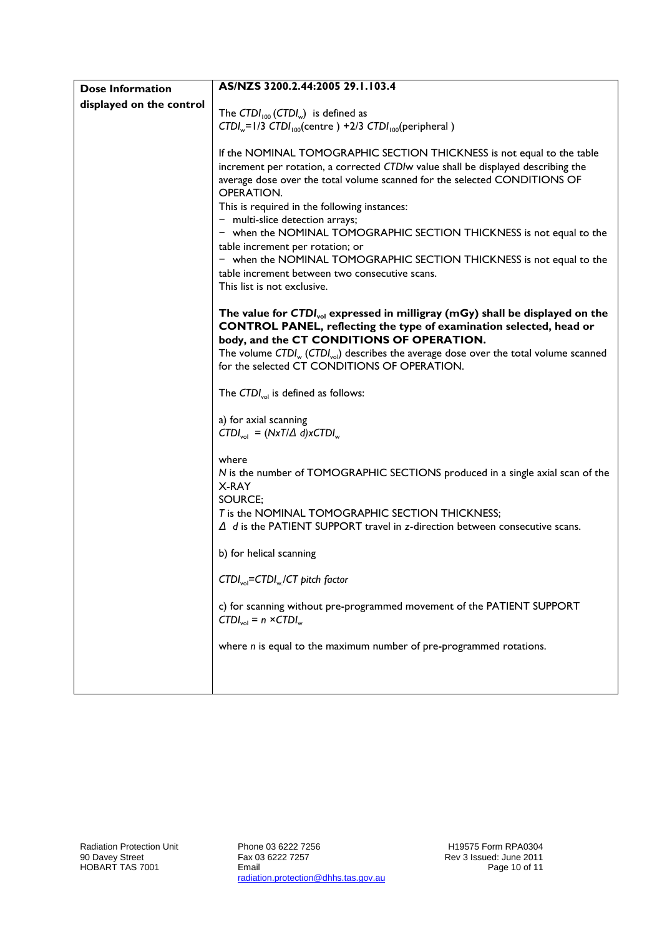| <b>Dose Information</b>  | AS/NZS 3200.2.44:2005 29.1.103.4                                                                                                                            |
|--------------------------|-------------------------------------------------------------------------------------------------------------------------------------------------------------|
| displayed on the control |                                                                                                                                                             |
|                          | The CTDI <sub>100</sub> (CTDI <sub>w</sub> ) is defined as                                                                                                  |
|                          | $CTDI_w=1/3$ $CTDI_{100}$ (centre) +2/3 $CTDI_{100}$ (peripheral)                                                                                           |
|                          |                                                                                                                                                             |
|                          | If the NOMINAL TOMOGRAPHIC SECTION THICKNESS is not equal to the table<br>increment per rotation, a corrected CTDIw value shall be displayed describing the |
|                          | average dose over the total volume scanned for the selected CONDITIONS OF                                                                                   |
|                          | OPERATION.                                                                                                                                                  |
|                          | This is required in the following instances:                                                                                                                |
|                          | - multi-slice detection arrays;                                                                                                                             |
|                          | - when the NOMINAL TOMOGRAPHIC SECTION THICKNESS is not equal to the                                                                                        |
|                          | table increment per rotation; or                                                                                                                            |
|                          | - when the NOMINAL TOMOGRAPHIC SECTION THICKNESS is not equal to the                                                                                        |
|                          | table increment between two consecutive scans.                                                                                                              |
|                          | This list is not exclusive.                                                                                                                                 |
|                          |                                                                                                                                                             |
|                          | The value for CTDI <sub>vol</sub> expressed in milligray (mGy) shall be displayed on the                                                                    |
|                          | CONTROL PANEL, reflecting the type of examination selected, head or<br>body, and the CT CONDITIONS OF OPERATION.                                            |
|                          | The volume CTDI <sub>w</sub> (CTDI <sub>vol</sub> ) describes the average dose over the total volume scanned                                                |
|                          | for the selected CT CONDITIONS OF OPERATION.                                                                                                                |
|                          |                                                                                                                                                             |
|                          | The CTDI <sub>vol</sub> is defined as follows:                                                                                                              |
|                          | a) for axial scanning                                                                                                                                       |
|                          | $\text{CTDI}_{\text{vol}} = (\text{NxT}/\Delta \text{ d})\text{xCTDI}_{\text{w}}$                                                                           |
|                          |                                                                                                                                                             |
|                          | where                                                                                                                                                       |
|                          | N is the number of TOMOGRAPHIC SECTIONS produced in a single axial scan of the                                                                              |
|                          | X-RAY                                                                                                                                                       |
|                          | SOURCE;                                                                                                                                                     |
|                          | T is the NOMINAL TOMOGRAPHIC SECTION THICKNESS;                                                                                                             |
|                          | $\Delta$ d is the PATIENT SUPPORT travel in z-direction between consecutive scans.                                                                          |
|                          | b) for helical scanning                                                                                                                                     |
|                          | CTDI <sub>vol</sub> =CTDI <sub>w</sub> /CT pitch factor                                                                                                     |
|                          | c) for scanning without pre-programmed movement of the PATIENT SUPPORT<br>$CTDI_{vol} = n \times CTDI_{w}$                                                  |
|                          | where $n$ is equal to the maximum number of pre-programmed rotations.                                                                                       |
|                          |                                                                                                                                                             |
|                          |                                                                                                                                                             |